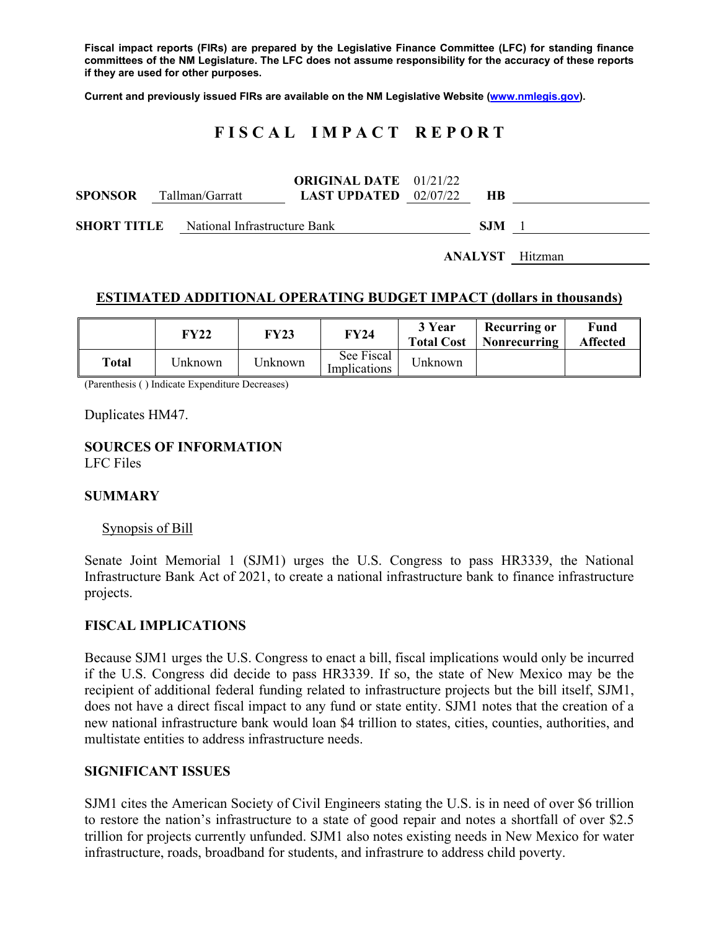**Fiscal impact reports (FIRs) are prepared by the Legislative Finance Committee (LFC) for standing finance committees of the NM Legislature. The LFC does not assume responsibility for the accuracy of these reports if they are used for other purposes.** 

**Current and previously issued FIRs are available on the NM Legislative Website (www.nmlegis.gov).** 

## **F I S C A L I M P A C T R E P O R T**

| <b>SPONSOR</b> | Tallman/Garratt                                 | <b>ORIGINAL DATE</b> 01/21/22<br><b>LAST UPDATED</b> $02/07/22$ | <b>HB</b> |                        |
|----------------|-------------------------------------------------|-----------------------------------------------------------------|-----------|------------------------|
|                | <b>SHORT TITLE</b> National Infrastructure Bank | S.IM                                                            |           |                        |
|                |                                                 |                                                                 |           | <b>ANALYST</b> Hitzman |

### **ESTIMATED ADDITIONAL OPERATING BUDGET IMPACT (dollars in thousands)**

|       | FY22     | <b>FY23</b> | <b>FY24</b>                | 3 Year<br><b>Total Cost</b> | Recurring or<br>Nonrecurring | Fund<br>Affected |
|-------|----------|-------------|----------------------------|-----------------------------|------------------------------|------------------|
| Total | Jnknown- | Unknown     | See Fiscal<br>Implications | Unknown                     |                              |                  |

(Parenthesis ( ) Indicate Expenditure Decreases)

Duplicates HM47.

#### **SOURCES OF INFORMATION**  LFC Files

#### **SUMMARY**

#### Synopsis of Bill

Senate Joint Memorial 1 (SJM1) urges the U.S. Congress to pass HR3339, the National Infrastructure Bank Act of 2021, to create a national infrastructure bank to finance infrastructure projects.

#### **FISCAL IMPLICATIONS**

Because SJM1 urges the U.S. Congress to enact a bill, fiscal implications would only be incurred if the U.S. Congress did decide to pass HR3339. If so, the state of New Mexico may be the recipient of additional federal funding related to infrastructure projects but the bill itself, SJM1, does not have a direct fiscal impact to any fund or state entity. SJM1 notes that the creation of a new national infrastructure bank would loan \$4 trillion to states, cities, counties, authorities, and multistate entities to address infrastructure needs.

#### **SIGNIFICANT ISSUES**

SJM1 cites the American Society of Civil Engineers stating the U.S. is in need of over \$6 trillion to restore the nation's infrastructure to a state of good repair and notes a shortfall of over \$2.5 trillion for projects currently unfunded. SJM1 also notes existing needs in New Mexico for water infrastructure, roads, broadband for students, and infrastrure to address child poverty.